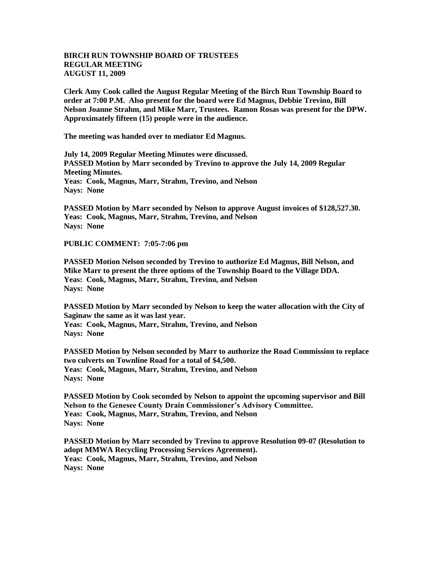## **BIRCH RUN TOWNSHIP BOARD OF TRUSTEES REGULAR MEETING AUGUST 11, 2009**

**Clerk Amy Cook called the August Regular Meeting of the Birch Run Township Board to order at 7:00 P.M. Also present for the board were Ed Magnus, Debbie Trevino, Bill Nelson Joanne Strahm, and Mike Marr, Trustees. Ramon Rosas was present for the DPW. Approximately fifteen (15) people were in the audience.** 

**The meeting was handed over to mediator Ed Magnus.**

**July 14, 2009 Regular Meeting Minutes were discussed. PASSED Motion by Marr seconded by Trevino to approve the July 14, 2009 Regular Meeting Minutes. Yeas: Cook, Magnus, Marr, Strahm, Trevino, and Nelson Nays: None** 

**PASSED Motion by Marr seconded by Nelson to approve August invoices of \$128,527.30. Yeas: Cook, Magnus, Marr, Strahm, Trevino, and Nelson Nays: None** 

**PUBLIC COMMENT: 7:05-7:06 pm**

**PASSED Motion Nelson seconded by Trevino to authorize Ed Magnus, Bill Nelson, and Mike Marr to present the three options of the Township Board to the Village DDA. Yeas: Cook, Magnus, Marr, Strahm, Trevino, and Nelson Nays: None** 

**PASSED Motion by Marr seconded by Nelson to keep the water allocation with the City of Saginaw the same as it was last year. Yeas: Cook, Magnus, Marr, Strahm, Trevino, and Nelson Nays: None** 

**PASSED Motion by Nelson seconded by Marr to authorize the Road Commission to replace two culverts on Townline Road for a total of \$4,500. Yeas: Cook, Magnus, Marr, Strahm, Trevino, and Nelson Nays: None** 

**PASSED Motion by Cook seconded by Nelson to appoint the upcoming supervisor and Bill Nelson to the Genesee County Drain Commissioner's Advisory Committee. Yeas: Cook, Magnus, Marr, Strahm, Trevino, and Nelson Nays: None** 

**PASSED Motion by Marr seconded by Trevino to approve Resolution 09-07 (Resolution to adopt MMWA Recycling Processing Services Agreement). Yeas: Cook, Magnus, Marr, Strahm, Trevino, and Nelson Nays: None**